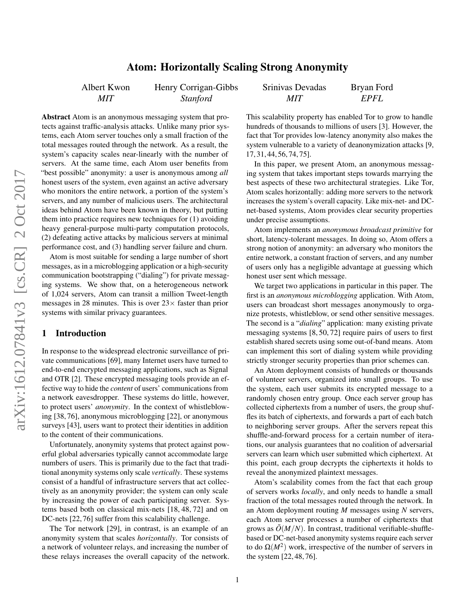# Atom: Horizontally Scaling Strong Anonymity

Albert Kwon *MIT*

Henry Corrigan-Gibbs *Stanford*

Srinivas Devadas *MIT* Bryan Ford

Abstract Atom is an anonymous messaging system that protects against traffic-analysis attacks. Unlike many prior systems, each Atom server touches only a small fraction of the total messages routed through the network. As a result, the system's capacity scales near-linearly with the number of servers. At the same time, each Atom user benefits from "best possible" anonymity: a user is anonymous among *all* honest users of the system, even against an active adversary who monitors the entire network, a portion of the system's servers, and any number of malicious users. The architectural ideas behind Atom have been known in theory, but putting them into practice requires new techniques for (1) avoiding heavy general-purpose multi-party computation protocols, (2) defeating active attacks by malicious servers at minimal performance cost, and (3) handling server failure and churn.

Atom is most suitable for sending a large number of short messages, as in a microblogging application or a high-security communication bootstrapping ("dialing") for private messaging systems. We show that, on a heterogeneous network of 1,024 servers, Atom can transit a million Tweet-length messages in 28 minutes. This is over  $23 \times$  faster than prior systems with similar privacy guarantees.

# 1 Introduction

In response to the widespread electronic surveillance of private communications [\[69\]](#page-16-0), many Internet users have turned to end-to-end encrypted messaging applications, such as Signal and OTR [\[2\]](#page-14-0). These encrypted messaging tools provide an effective way to hide the *content* of users' communications from a network eavesdropper. These systems do little, however, to protect users' *anonymity*. In the context of whistleblowing [\[38,](#page-15-0) [76\]](#page-16-1), anonymous microblogging [\[22\]](#page-14-1), or anonymous surveys [\[43\]](#page-15-1), users want to protect their identities in addition to the content of their communications.

Unfortunately, anonymity systems that protect against powerful global adversaries typically cannot accommodate large numbers of users. This is primarily due to the fact that traditional anonymity systems only scale *vertically*. These systems consist of a handful of infrastructure servers that act collectively as an anonymity provider; the system can only scale by increasing the power of each participating server. Systems based both on classical mix-nets [\[18,](#page-14-2) [48,](#page-15-2) [72\]](#page-16-2) and on DC-nets [\[22,](#page-14-1) [76\]](#page-16-1) suffer from this scalability challenge.

The Tor network [\[29\]](#page-15-3), in contrast, is an example of an anonymity system that scales *horizontally*. Tor consists of a network of volunteer relays, and increasing the number of these relays increases the overall capacity of the network. This scalability property has enabled Tor to grow to handle hundreds of thousands to millions of users [\[3\]](#page-14-3). However, the fact that Tor provides low-latency anonymity also makes the system vulnerable to a variety of deanonymization attacks [\[9,](#page-14-4) [17,](#page-14-5) [31,](#page-15-4) [44,](#page-15-5) [56,](#page-16-3) [74,](#page-16-4) [75\]](#page-16-5).

*EPFL*

In this paper, we present Atom, an anonymous messaging system that takes important steps towards marrying the best aspects of these two architectural strategies. Like Tor, Atom scales horizontally: adding more servers to the network increases the system's overall capacity. Like mix-net- and DCnet-based systems, Atom provides clear security properties under precise assumptions.

Atom implements an *anonymous broadcast primitive* for short, latency-tolerant messages. In doing so, Atom offers a strong notion of anonymity: an adversary who monitors the entire network, a constant fraction of servers, and any number of users only has a negligible advantage at guessing which honest user sent which message.

We target two applications in particular in this paper. The first is an *anonymous microblogging* application. With Atom, users can broadcast short messages anonymously to organize protests, whistleblow, or send other sensitive messages. The second is a "*dialing*" application: many existing private messaging systems [\[8,](#page-14-6) [50,](#page-15-6) [72\]](#page-16-2) require pairs of users to first establish shared secrets using some out-of-band means. Atom can implement this sort of dialing system while providing strictly stronger security properties than prior schemes can.

An Atom deployment consists of hundreds or thousands of volunteer servers, organized into small groups. To use the system, each user submits its encrypted message to a randomly chosen entry group. Once each server group has collected ciphertexts from a number of users, the group shuffles its batch of ciphertexts, and forwards a part of each batch to neighboring server groups. After the servers repeat this shuffle-and-forward process for a certain number of iterations, our analysis guarantees that no coalition of adversarial servers can learn which user submitted which ciphertext. At this point, each group decrypts the ciphertexts it holds to reveal the anonymized plaintext messages.

Atom's scalability comes from the fact that each group of servers works *locally*, and only needs to handle a small fraction of the total messages routed through the network. In an Atom deployment routing *M* messages using *N* servers, each Atom server processes a number of ciphertexts that grows as  $\tilde{O}(M/N)$ . In contrast, traditional verifiable-shufflebased or DC-net-based anonymity systems require each server to do  $\Omega(M^2)$  work, irrespective of the number of servers in the system [\[22,](#page-14-1) [48,](#page-15-2) [76\]](#page-16-1).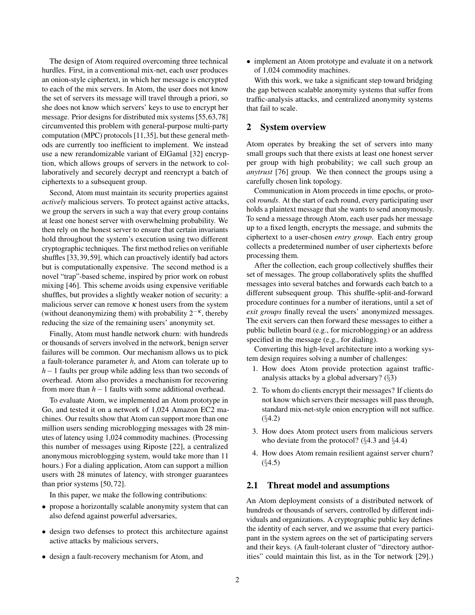The design of Atom required overcoming three technical hurdles. First, in a conventional mix-net, each user produces an onion-style ciphertext, in which her message is encrypted to each of the mix servers. In Atom, the user does not know the set of servers its message will travel through a priori, so she does not know which servers' keys to use to encrypt her message. Prior designs for distributed mix systems [\[55](#page-16-6)[,63,](#page-16-7)[78\]](#page-16-8) circumvented this problem with general-purpose multi-party computation (MPC) protocols [\[11](#page-14-7)[,35\]](#page-15-7), but these general methods are currently too inefficient to implement. We instead use a new rerandomizable variant of ElGamal [\[32\]](#page-15-8) encryption, which allows groups of servers in the network to collaboratively and securely decrypt and reencrypt a batch of ciphertexts to a subsequent group.

Second, Atom must maintain its security properties against *actively* malicious servers. To protect against active attacks, we group the servers in such a way that every group contains at least one honest server with overwhelming probability. We then rely on the honest server to ensure that certain invariants hold throughout the system's execution using two different cryptographic techniques. The first method relies on verifiable shuffles [\[33,](#page-15-9) [39,](#page-15-10) [59\]](#page-16-9), which can proactively identify bad actors but is computationally expensive. The second method is a novel "trap"-based scheme, inspired by prior work on robust mixing [\[46\]](#page-15-11). This scheme avoids using expensive verifiable shuffles, but provides a slightly weaker notion of security: a malicious server can remove  $\kappa$  honest users from the system (without deanonymizing them) with probability  $2^{-\kappa}$ , thereby reducing the size of the remaining users' anonymity set.

Finally, Atom must handle network churn: with hundreds or thousands of servers involved in the network, benign server failures will be common. Our mechanism allows us to pick a fault-tolerance parameter *h*, and Atom can tolerate up to *h*−1 faults per group while adding less than two seconds of overhead. Atom also provides a mechanism for recovering from more than *h*−1 faults with some additional overhead.

To evaluate Atom, we implemented an Atom prototype in Go, and tested it on a network of 1,024 Amazon EC2 machines. Our results show that Atom can support more than one million users sending microblogging messages with 28 minutes of latency using 1,024 commodity machines. (Processing this number of messages using Riposte [\[22\]](#page-14-1), a centralized anonymous microblogging system, would take more than 11 hours.) For a dialing application, Atom can support a million users with 28 minutes of latency, with stronger guarantees than prior systems [\[50,](#page-15-6) [72\]](#page-16-2).

In this paper, we make the following contributions:

- propose a horizontally scalable anonymity system that can also defend against powerful adversaries,
- design two defenses to protect this architecture against active attacks by malicious servers,
- design a fault-recovery mechanism for Atom, and

• implement an Atom prototype and evaluate it on a network of 1,024 commodity machines.

With this work, we take a significant step toward bridging the gap between scalable anonymity systems that suffer from traffic-analysis attacks, and centralized anonymity systems that fail to scale.

#### 2 System overview

Atom operates by breaking the set of servers into many small groups such that there exists at least one honest server per group with high probability; we call such group an *anytrust* [\[76\]](#page-16-1) group. We then connect the groups using a carefully chosen link topology.

Communication in Atom proceeds in time epochs, or protocol *rounds*. At the start of each round, every participating user holds a plaintext message that she wants to send anonymously. To send a message through Atom, each user pads her message up to a fixed length, encrypts the message, and submits the ciphertext to a user-chosen *entry group*. Each entry group collects a predetermined number of user ciphertexts before processing them.

After the collection, each group collectively shuffles their set of messages. The group collaboratively splits the shuffled messages into several batches and forwards each batch to a different subsequent group. This shuffle-split-and-forward procedure continues for a number of iterations, until a set of *exit groups* finally reveal the users' anonymized messages. The exit servers can then forward these messages to either a public bulletin board (e.g., for microblogging) or an address specified in the message (e.g., for dialing).

Converting this high-level architecture into a working system design requires solving a number of challenges:

- 1. How does Atom provide protection against trafficanalysis attacks by a global adversary? (§[3\)](#page-2-0)
- 2. To whom do clients encrypt their messages? If clients do not know which servers their messages will pass through, standard mix-net-style onion encryption will not suffice. (§[4.2\)](#page-4-0)
- 3. How does Atom protect users from malicious servers who deviate from the protocol? (§[4.3](#page-4-1) and §[4.4\)](#page-5-0)
- 4. How does Atom remain resilient against server churn?  $(§4.5)$  $(§4.5)$

#### 2.1 Threat model and assumptions

An Atom deployment consists of a distributed network of hundreds or thousands of servers, controlled by different individuals and organizations. A cryptographic public key defines the identity of each server, and we assume that every participant in the system agrees on the set of participating servers and their keys. (A fault-tolerant cluster of "directory authorities" could maintain this list, as in the Tor network [\[29\]](#page-15-3).)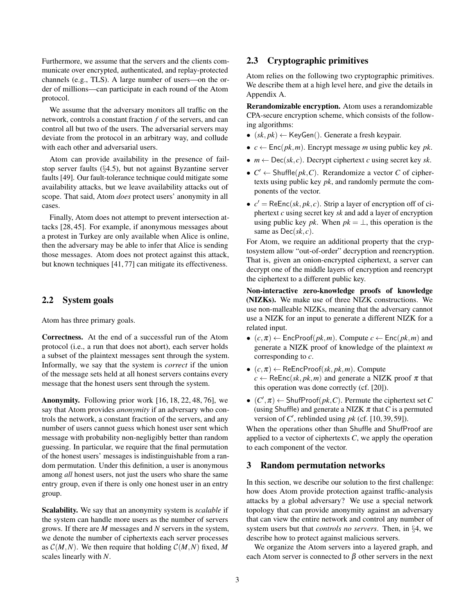Furthermore, we assume that the servers and the clients communicate over encrypted, authenticated, and replay-protected channels (e.g., TLS). A large number of users—on the order of millions—can participate in each round of the Atom protocol.

We assume that the adversary monitors all traffic on the network, controls a constant fraction *f* of the servers, and can control all but two of the users. The adversarial servers may deviate from the protocol in an arbitrary way, and collude with each other and adversarial users.

Atom can provide availability in the presence of failstop server faults (§[4.5\)](#page-6-0), but not against Byzantine server faults [\[49\]](#page-15-12). Our fault-tolerance technique could mitigate some availability attacks, but we leave availability attacks out of scope. That said, Atom *does* protect users' anonymity in all cases.

Finally, Atom does not attempt to prevent intersection attacks [\[28,](#page-14-8) [45\]](#page-15-13). For example, if anonymous messages about a protest in Turkey are only available when Alice is online, then the adversary may be able to infer that Alice is sending those messages. Atom does not protect against this attack, but known techniques [\[41,](#page-15-14) [77\]](#page-16-10) can mitigate its effectiveness.

#### 2.2 System goals

Atom has three primary goals.

Correctness. At the end of a successful run of the Atom protocol (i.e., a run that does not abort), each server holds a subset of the plaintext messages sent through the system. Informally, we say that the system is *correct* if the union of the message sets held at all honest servers contains every message that the honest users sent through the system.

Anonymity. Following prior work [\[16,](#page-14-9) [18,](#page-14-2) [22,](#page-14-1) [48,](#page-15-2) [76\]](#page-16-1), we say that Atom provides *anonymity* if an adversary who controls the network, a constant fraction of the servers, and any number of users cannot guess which honest user sent which message with probability non-negligibly better than random guessing. In particular, we require that the final permutation of the honest users' messages is indistinguishable from a random permutation. Under this definition, a user is anonymous among *all* honest users, not just the users who share the same entry group, even if there is only one honest user in an entry group.

Scalability. We say that an anonymity system is *scalable* if the system can handle more users as the number of servers grows. If there are *M* messages and *N* servers in the system, we denote the number of ciphertexts each server processes as  $\mathcal{C}(M,N)$ . We then require that holding  $\mathcal{C}(M,N)$  fixed, M scales linearly with *N*.

# <span id="page-2-1"></span>2.3 Cryptographic primitives

Atom relies on the following two cryptographic primitives. We describe them at a high level here, and give the details in Appendix [A.](#page-13-0)

Rerandomizable encryption. Atom uses a rerandomizable CPA-secure encryption scheme, which consists of the following algorithms:

- $(sk, pk) \leftarrow \text{KeyGen}()$ . Generate a fresh keypair.
- $c \leftarrow \text{Enc}(pk, m)$ . Encrypt message *m* using public key *pk*.
- $m \leftarrow \text{Dec}(sk, c)$ . Decrypt ciphertext *c* using secret key *sk*.
- $C' \leftarrow$  Shuffle( $pk$ , C). Rerandomize a vector C of ciphertexts using public key *pk*, and randomly permute the components of the vector.
- $c' = \text{ReEnc}(sk, pk, c)$ . Strip a layer of encryption off of ciphertext *c* using secret key *sk* and add a layer of encryption using public key *pk*. When  $pk = \perp$ , this operation is the same as Dec(*sk*, *c*).

For Atom, we require an additional property that the cryptosystem allow "out-of-order" decryption and reencryption. That is, given an onion-encrypted ciphertext, a server can decrypt one of the middle layers of encryption and reencrypt the ciphertext to a different public key.

Non-interactive zero-knowledge proofs of knowledge (NIZKs). We make use of three NIZK constructions. We use non-malleable NIZKs, meaning that the adversary cannot use a NIZK for an input to generate a different NIZK for a related input.

- $(c, \pi) \leftarrow$  EncProof( $pk, m$ ). Compute  $c \leftarrow$  Enc( $pk, m$ ) and generate a NIZK proof of knowledge of the plaintext *m* corresponding to *c*.
- $(c, \pi) \leftarrow \text{ReEncProof}(sk, pk, m)$ . Compute  $c \leftarrow \text{ReEnc}(sk, pk, m)$  and generate a NIZK proof  $\pi$  that this operation was done correctly (cf. [\[20\]](#page-14-10)).
- $\bullet$  (*C'*,  $\pi$ )  $\leftarrow$  ShufProof(*pk*, *C*). Permute the ciphertext set *C* (using Shuffle) and generate a NIZK  $\pi$  that *C* is a permuted version of  $C'$ , reblinded using  $pk$  (cf. [\[10,](#page-14-11) [39,](#page-15-10) [59\]](#page-16-9)).

When the operations other than Shuffle and ShufProof are applied to a vector of ciphertexts *C*, we apply the operation to each component of the vector.

# <span id="page-2-0"></span>3 Random permutation networks

In this section, we describe our solution to the first challenge: how does Atom provide protection against traffic-analysis attacks by a global adversary? We use a special network topology that can provide anonymity against an adversary that can view the entire network and control any number of system users but that *controls no servers*. Then, in §[4,](#page-3-0) we describe how to protect against malicious servers.

We organize the Atom servers into a layered graph, and each Atom server is connected to  $\beta$  other servers in the next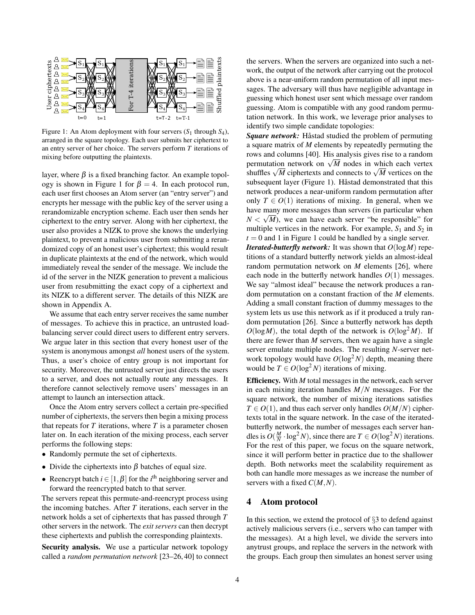<span id="page-3-1"></span>

Figure 1: An Atom deployment with four servers  $(S_1$  through  $S_4$ ), arranged in the square topology. Each user submits her ciphertext to an entry server of her choice. The servers perform *T* iterations of mixing before outputting the plaintexts.

layer, where  $\beta$  is a fixed branching factor. An example topol-ogy is shown in Figure [1](#page-3-1) for  $\beta = 4$ . In each protocol run, each user first chooses an Atom server (an "entry server") and encrypts her message with the public key of the server using a rerandomizable encryption scheme. Each user then sends her ciphertext to the entry server. Along with her ciphertext, the user also provides a NIZK to prove she knows the underlying plaintext, to prevent a malicious user from submitting a rerandomized copy of an honest user's ciphertext; this would result in duplicate plaintexts at the end of the network, which would immediately reveal the sender of the message. We include the id of the server in the NIZK generation to prevent a malicious user from resubmitting the exact copy of a ciphertext and its NIZK to a different server. The details of this NIZK are shown in Appendix [A.](#page-13-0)

We assume that each entry server receives the same number of messages. To achieve this in practice, an untrusted loadbalancing server could direct users to different entry servers. We argue later in this section that every honest user of the system is anonymous amongst *all* honest users of the system. Thus, a user's choice of entry group is not important for security. Moreover, the untrusted server just directs the users to a server, and does not actually route any messages. It therefore cannot selectively remove users' messages in an attempt to launch an intersection attack.

Once the Atom entry servers collect a certain pre-specified number of ciphertexts, the servers then begin a mixing process that repeats for  $T$  iterations, where  $T$  is a parameter chosen later on. In each iteration of the mixing process, each server performs the following steps:

- Randomly permute the set of ciphertexts.
- Divide the ciphertexts into  $\beta$  batches of equal size.
- Reencrypt batch  $i \in [1, \beta]$  for the  $i<sup>th</sup>$  neighboring server and forward the reencrypted batch to that server.

The servers repeat this permute-and-reencrypt process using the incoming batches. After *T* iterations, each server in the network holds a set of ciphertexts that has passed through *T* other servers in the network. The *exit servers* can then decrypt these ciphertexts and publish the corresponding plaintexts.

Security analysis. We use a particular network topology called a *random permutation network* [\[23–](#page-14-12)[26,](#page-14-13) [40\]](#page-15-15) to connect the servers. When the servers are organized into such a network, the output of the network after carrying out the protocol above is a near-uniform random permutation of all input messages. The adversary will thus have negligible advantage in guessing which honest user sent which message over random guessing. Atom is compatible with any good random permutation network. In this work, we leverage prior analyses to identify two simple candidate topologies:

*Square network:* Håstad studied the problem of permuting a square matrix of *M* elements by repeatedly permuting the rows and columns [\[40\]](#page-15-15). His analysis gives rise to a random rows and columns [40]. His analysis gives rise to a random<br>permutation network on  $\sqrt{M}$  nodes in which each vertex permutation network on  $\sqrt{M}$  nodes in which each vertex<br>shuffles  $\sqrt{M}$  ciphertexts and connects to  $\sqrt{M}$  vertices on the subsequent layer (Figure [1\)](#page-3-1). Håstad demonstrated that this network produces a near-uniform random permutation after only  $T \in O(1)$  iterations of mixing. In general, when we have many more messages than servers (in particular when  $N < \sqrt{M}$ ), we can have each server "be responsible" for multiple vertices in the network. For example,  $S_1$  and  $S_2$  in  $t = 0$  and [1](#page-3-1) in Figure 1 could be handled by a single server.

*Iterated-butterfly network:* It was shown that  $O(logM)$  repetitions of a standard butterfly network yields an almost-ideal random permutation network on *M* elements [\[26\]](#page-14-13), where each node in the butterfly network handles  $O(1)$  messages. We say "almost ideal" because the network produces a random permutation on a constant fraction of the *M* elements. Adding a small constant fraction of dummy messages to the system lets us use this network as if it produced a truly random permutation [\[26\]](#page-14-13). Since a butterfly network has depth  $O(log^2 M)$ , the total depth of the network is  $O(log^2 M)$ . If there are fewer than *M* servers, then we again have a single server emulate multiple nodes. The resulting *N*-server network topology would have  $O(\log^2 N)$  depth, meaning there would be  $T \in O(\log^2 N)$  iterations of mixing.

Efficiency. With *M* total messages in the network, each server in each mixing iteration handles *M*/*N* messages. For the square network, the number of mixing iterations satisfies  $T \in O(1)$ , and thus each server only handles  $O(M/N)$  ciphertexts total in the square network. In the case of the iteratedbutterfly network, the number of messages each server handles is  $O(\frac{M}{N} \cdot \log^2 N)$ , since there are  $T \in O(\log^2 N)$  iterations. For the rest of this paper, we focus on the square network, since it will perform better in practice due to the shallower depth. Both networks meet the scalability requirement as both can handle more messages as we increase the number of servers with a fixed *C*(*M*,*N*).

#### <span id="page-3-0"></span>4 Atom protocol

In this section, we extend the protocol of §[3](#page-2-0) to defend against actively malicious servers (i.e., servers who can tamper with the messages). At a high level, we divide the servers into anytrust groups, and replace the servers in the network with the groups. Each group then simulates an honest server using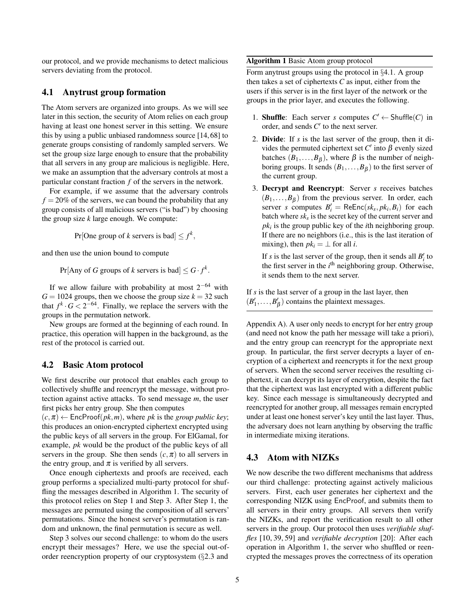our protocol, and we provide mechanisms to detect malicious servers deviating from the protocol.

#### <span id="page-4-5"></span>4.1 Anytrust group formation

The Atom servers are organized into groups. As we will see later in this section, the security of Atom relies on each group having at least one honest server in this setting. We ensure this by using a public unbiased randomness source [\[14,](#page-14-14) [68\]](#page-16-11) to generate groups consisting of randomly sampled servers. We set the group size large enough to ensure that the probability that all servers in any group are malicious is negligible. Here, we make an assumption that the adversary controls at most a particular constant fraction *f* of the servers in the network.

For example, if we assume that the adversary controls  $f = 20\%$  of the servers, we can bound the probability that any group consists of all malicious servers ("is bad") by choosing the group size *k* large enough. We compute:

Pr[One group of *k* servers is bad]  $\leq f^k$ ,

and then use the union bound to compute

 $Pr[$ Any of *G* groups of *k* servers is bad $] \leq G \cdot f^k$ .

If we allow failure with probability at most  $2^{-64}$  with  $G = 1024$  groups, then we choose the group size  $k = 32$  such that  $f^k \cdot G < 2^{-64}$ . Finally, we replace the servers with the groups in the permutation network.

New groups are formed at the beginning of each round. In practice, this operation will happen in the background, as the rest of the protocol is carried out.

#### <span id="page-4-0"></span>4.2 Basic Atom protocol

We first describe our protocol that enables each group to collectively shuffle and reencrypt the message, without protection against active attacks. To send message *m*, the user first picks her entry group. She then computes

 $(c, \pi) \leftarrow$  EncProof( $pk, m$ ), where  $pk$  is the *group public key*; this produces an onion-encrypted ciphertext encrypted using the public keys of all servers in the group. For ElGamal, for example, *pk* would be the product of the public keys of all servers in the group. She then sends  $(c, \pi)$  to all servers in the entry group, and  $\pi$  is verified by all servers.

Once enough ciphertexts and proofs are received, each group performs a specialized multi-party protocol for shuffling the messages described in Algorithm [1.](#page-4-2) The security of this protocol relies on Step [1](#page-4-3) and Step [3.](#page-4-4) After Step [1,](#page-4-3) the messages are permuted using the composition of all servers' permutations. Since the honest server's permutation is random and unknown, the final permutation is secure as well.

Step [3](#page-4-4) solves our second challenge: to whom do the users encrypt their messages? Here, we use the special out-oforder reencryption property of our cryptosystem (§[2.3](#page-2-1) and

#### <span id="page-4-2"></span>Algorithm 1 Basic Atom group protocol

Form anytrust groups using the protocol in §[4.1.](#page-4-5) A group then takes a set of ciphertexts *C* as input, either from the users if this server is in the first layer of the network or the groups in the prior layer, and executes the following.

- <span id="page-4-3"></span>1. **Shuffle**: Each server *s* computes  $C' \leftarrow$  Shuffle(*C*) in order, and sends  $C'$  to the next server.
- 2. Divide: If *s* is the last server of the group, then it divides the permuted ciphertext set  $C'$  into  $\beta$  evenly sized batches  $(B_1, \ldots, B_\beta)$ , where  $\beta$  is the number of neighboring groups. It sends  $(B_1, \ldots, B_\beta)$  to the first server of the current group.
- <span id="page-4-4"></span>3. Decrypt and Reencrypt: Server *s* receives batches  $(B_1, \ldots, B_\beta)$  from the previous server. In order, each server *s* computes  $B'_i = \text{ReEnc}(sk_s, pk_i, B_i)$  for each batch where *sk<sup>s</sup>* is the secret key of the current server and *pk<sup>i</sup>* is the group public key of the *i*th neighboring group. If there are no neighbors (i.e., this is the last iteration of mixing), then  $pk_i = \perp$  for all *i*.

If *s* is the last server of the group, then it sends all  $B_i'$  to the first server in the  $i<sup>th</sup>$  neighboring group. Otherwise, it sends them to the next server.

If *s* is the last server of a group in the last layer, then  $(B'_1, \ldots, B'_\beta)$  contains the plaintext messages.

Appendix [A\)](#page-13-0). A user only needs to encrypt for her entry group (and need not know the path her message will take a priori), and the entry group can reencrypt for the appropriate next group. In particular, the first server decrypts a layer of encryption of a ciphertext and reencrypts it for the next group of servers. When the second server receives the resulting ciphertext, it can decrypt its layer of encryption, despite the fact that the ciphertext was last encrypted with a different public key. Since each message is simultaneously decrypted and reencrypted for another group, all messages remain encrypted under at least one honest server's key until the last layer. Thus, the adversary does not learn anything by observing the traffic in intermediate mixing iterations.

# <span id="page-4-1"></span>4.3 Atom with NIZKs

We now describe the two different mechanisms that address our third challenge: protecting against actively malicious servers. First, each user generates her ciphertext and the corresponding NIZK using EncProof, and submits them to all servers in their entry groups. All servers then verify the NIZKs, and report the verification result to all other servers in the group. Our protocol then uses *verifiable shuffles* [\[10,](#page-14-11) [39,](#page-15-10) [59\]](#page-16-9) and *verifiable decryption* [\[20\]](#page-14-10): After each operation in Algorithm [1,](#page-4-2) the server who shuffled or reencrypted the messages proves the correctness of its operation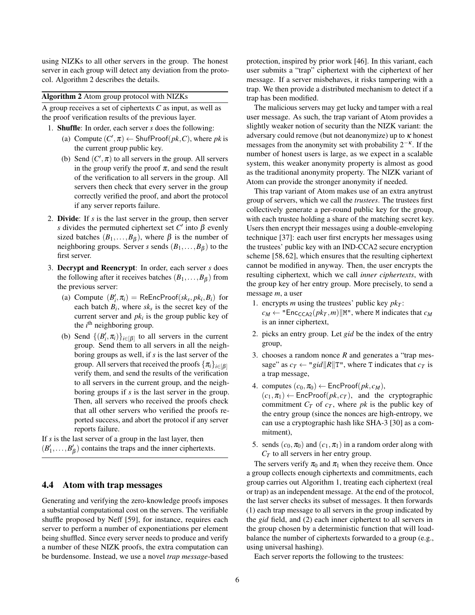using NIZKs to all other servers in the group. The honest server in each group will detect any deviation from the protocol. Algorithm [2](#page-5-1) describes the details.

<span id="page-5-1"></span>Algorithm 2 Atom group protocol with NIZKs

A group receives a set of ciphertexts *C* as input, as well as the proof verification results of the previous layer.

- 1. Shuffle: In order, each server *s* does the following:
	- (a) Compute  $(C', \pi) \leftarrow$  ShufProof( $pk, C$ ), where  $pk$  is the current group public key.
	- (b) Send  $(C', \pi)$  to all servers in the group. All servers in the group verify the proof  $\pi$ , and send the result of the verification to all servers in the group. All servers then check that every server in the group correctly verified the proof, and abort the protocol if any server reports failure.
- 2. Divide: If *s* is the last server in the group, then server *s* divides the permuted ciphertext set  $C'$  into  $\beta$  evenly sized batches  $(B_1, \ldots, B_\beta)$ , where  $\beta$  is the number of neighboring groups. Server *s* sends  $(B_1, \ldots, B_\beta)$  to the first server.
- 3. Decrypt and Reencrypt: In order, each server *s* does the following after it receives batches  $(B_1, \ldots, B_\beta)$  from the previous server:
	- (a) Compute  $(B'_i, \pi_i)$  = ReEncProof( $sk_s, pk_i, B_i$ ) for each batch  $B_i$ , where  $s k_s$  is the secret key of the current server and  $pk_i$  is the group public key of the  $i<sup>th</sup>$  neighboring group.
	- (b) Send  $\{(B'_i, \pi_i)\}_{i \in [\beta]}$  to all servers in the current group. Send them to all servers in all the neighboring groups as well, if *s* is the last server of the group. All servers that received the proofs  $\{\pi_i\}_{i\in [B]}$ verify them, and send the results of the verification to all servers in the current group, and the neighboring groups if *s* is the last server in the group. Then, all servers who received the proofs check that all other servers who verified the proofs reported success, and abort the protocol if any server reports failure.

If *s* is the last server of a group in the last layer, then  $(B'_1, \ldots, B'_\beta)$  contains the traps and the inner ciphertexts.

### <span id="page-5-0"></span>4.4 Atom with trap messages

Generating and verifying the zero-knowledge proofs imposes a substantial computational cost on the servers. The verifiable shuffle proposed by Neff [\[59\]](#page-16-9), for instance, requires each server to perform a number of exponentiations per element being shuffled. Since every server needs to produce and verify a number of these NIZK proofs, the extra computation can be burdensome. Instead, we use a novel *trap message*-based

protection, inspired by prior work [\[46\]](#page-15-11). In this variant, each user submits a "trap" ciphertext with the ciphertext of her message. If a server misbehaves, it risks tampering with a trap. We then provide a distributed mechanism to detect if a trap has been modified.

The malicious servers may get lucky and tamper with a real user message. As such, the trap variant of Atom provides a slightly weaker notion of security than the NIZK variant: the adversary could remove (but not deanonymize) up to  $\kappa$  honest messages from the anonymity set with probability  $2^{-\kappa}$ . If the number of honest users is large, as we expect in a scalable system, this weaker anonymity property is almost as good as the traditional anonymity property. The NIZK variant of Atom can provide the stronger anonymity if needed.

This trap variant of Atom makes use of an extra anytrust group of servers, which we call the *trustees*. The trustees first collectively generate a per-round public key for the group, with each trustee holding a share of the matching secret key. Users then encrypt their messages using a double-enveloping technique [\[37\]](#page-15-16): each user first encrypts her messages using the trustees' public key with an IND-CCA2 secure encryption scheme [\[58,](#page-16-12) [62\]](#page-16-13), which ensures that the resulting ciphertext cannot be modified in anyway. Then, the user encrypts the resulting ciphertext, which we call *inner ciphertexts*, with the group key of her entry group. More precisely, to send a message *m*, a user

- 1. encrypts *m* using the trustees' public key  $pk<sub>T</sub>$ :  $c_M \leftarrow$  "Enc<sub>CCA2</sub>( $pk_T, m$ )||M", where M indicates that  $c_M$ is an inner ciphertext,
- 2. picks an entry group. Let *gid* be the index of the entry group,
- 3. chooses a random nonce *R* and generates a "trap message" as  $c_T \leftarrow "gid||R||T",$  where T indicates that  $c_T$  is a trap message,
- 4. computes  $(c_0, \pi_0) \leftarrow$  EncProof( $pk, c_M$ ),

 $(c_1, \pi_1) \leftarrow$  EncProof( $pk, c_T$ ), and the cryptographic commitment  $C_T$  of  $c_T$ , where  $pk$  is the public key of the entry group (since the nonces are high-entropy, we can use a cryptographic hash like SHA-3 [\[30\]](#page-15-17) as a commitment),

5. sends  $(c_0, \pi_0)$  and  $(c_1, \pi_1)$  in a random order along with *C<sup>T</sup>* to all servers in her entry group.

The servers verify  $\pi_0$  and  $\pi_1$  when they receive them. Once a group collects enough ciphertexts and commitments, each group carries out Algorithm [1,](#page-4-2) treating each ciphertext (real or trap) as an independent message. At the end of the protocol, the last server checks its subset of messages. It then forwards (1) each trap message to all servers in the group indicated by the *gid* field, and (2) each inner ciphertext to all servers in the group chosen by a deterministic function that will loadbalance the number of ciphertexts forwarded to a group (e.g., using universal hashing).

Each server reports the following to the trustees: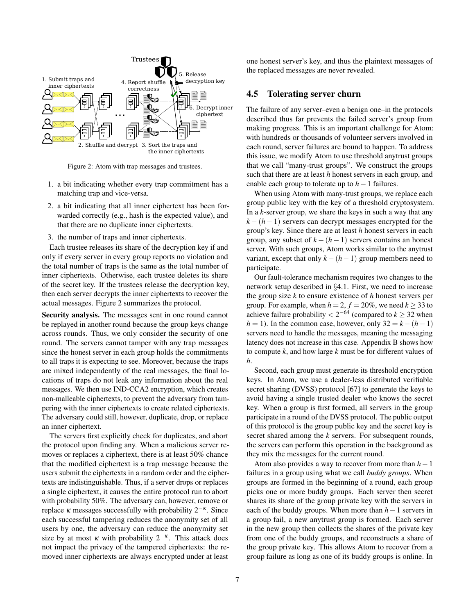<span id="page-6-1"></span>

Figure 2: Atom with trap messages and trustees.

- 1. a bit indicating whether every trap commitment has a matching trap and vice-versa.
- 2. a bit indicating that all inner ciphertext has been forwarded correctly (e.g., hash is the expected value), and that there are no duplicate inner ciphertexts.
- 3. the number of traps and inner ciphertexts.

Each trustee releases its share of the decryption key if and only if every server in every group reports no violation and the total number of traps is the same as the total number of inner ciphertexts. Otherwise, each trustee deletes its share of the secret key. If the trustees release the decryption key, then each server decrypts the inner ciphertexts to recover the actual messages. Figure [2](#page-6-1) summarizes the protocol.

Security analysis. The messages sent in one round cannot be replayed in another round because the group keys change across rounds. Thus, we only consider the security of one round. The servers cannot tamper with any trap messages since the honest server in each group holds the commitments to all traps it is expecting to see. Moreover, because the traps are mixed independently of the real messages, the final locations of traps do not leak any information about the real messages. We then use IND-CCA2 encryption, which creates non-malleable ciphertexts, to prevent the adversary from tampering with the inner ciphertexts to create related ciphertexts. The adversary could still, however, duplicate, drop, or replace an inner ciphertext.

The servers first explicitly check for duplicates, and abort the protocol upon finding any. When a malicious server removes or replaces a ciphertext, there is at least 50% chance that the modified ciphertext is a trap message because the users submit the ciphertexts in a random order and the ciphertexts are indistinguishable. Thus, if a server drops or replaces a single ciphertext, it causes the entire protocol run to abort with probability 50%. The adversary can, however, remove or replace  $\kappa$  messages successfully with probability  $2^{-\kappa}$ . Since each successful tampering reduces the anonymity set of all users by one, the adversary can reduce the anonymity set size by at most  $\kappa$  with probability  $2^{-\kappa}$ . This attack does not impact the privacy of the tampered ciphertexts: the removed inner ciphertexts are always encrypted under at least

one honest server's key, and thus the plaintext messages of the replaced messages are never revealed.

#### <span id="page-6-0"></span>4.5 Tolerating server churn

The failure of any server–even a benign one–in the protocols described thus far prevents the failed server's group from making progress. This is an important challenge for Atom: with hundreds or thousands of volunteer servers involved in each round, server failures are bound to happen. To address this issue, we modify Atom to use threshold anytrust groups that we call "many-trust groups". We construct the groups such that there are at least *h* honest servers in each group, and enable each group to tolerate up to *h*−1 failures.

When using Atom with many-trust groups, we replace each group public key with the key of a threshold cryptosystem. In a *k*-server group, we share the keys in such a way that any  $k - (h - 1)$  servers can decrypt messages encrypted for the group's key. Since there are at least *h* honest servers in each group, any subset of  $k - (h-1)$  servers contains an honest server. With such groups, Atom works similar to the anytrust variant, except that only  $k - (h-1)$  group members need to participate.

Our fault-tolerance mechanism requires two changes to the network setup described in §[4.1.](#page-4-5) First, we need to increase the group size *k* to ensure existence of *h* honest servers per group. For example, when  $h = 2$ ,  $f = 20\%$ , we need  $k > 33$  to achieve failure probability  $\lt 2^{-64}$  (compared to  $k \geq 32$  when  $h = 1$ ). In the common case, however, only  $32 = k - (h-1)$ servers need to handle the messages, meaning the messaging latency does not increase in this case. Appendix [B](#page-13-1) shows how to compute *k*, and how large *k* must be for different values of *h*.

Second, each group must generate its threshold encryption keys. In Atom, we use a dealer-less distributed verifiable secret sharing (DVSS) protocol [\[67\]](#page-16-14) to generate the keys to avoid having a single trusted dealer who knows the secret key. When a group is first formed, all servers in the group participate in a round of the DVSS protocol. The public output of this protocol is the group public key and the secret key is secret shared among the *k* servers. For subsequent rounds, the servers can perform this operation in the background as they mix the messages for the current round.

Atom also provides a way to recover from more than *h*−1 failures in a group using what we call *buddy groups*. When groups are formed in the beginning of a round, each group picks one or more buddy groups. Each server then secret shares its share of the group private key with the servers in each of the buddy groups. When more than *h*−1 servers in a group fail, a new anytrust group is formed. Each server in the new group then collects the shares of the private key from one of the buddy groups, and reconstructs a share of the group private key. This allows Atom to recover from a group failure as long as one of its buddy groups is online. In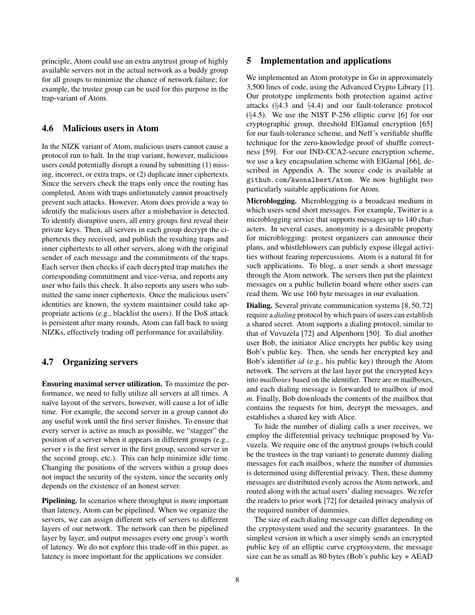principle, Atom could use an extra anytrust group of highly available servers not in the actual network as a buddy group for all groups to minimize the chance of network failure; for example, the trustee group can be used for this purpose in the trap-variant of Atom.

# <span id="page-7-0"></span>4.6 Malicious users in Atom

In the NIZK variant of Atom, malicious users cannot cause a protocol run to halt. In the trap variant, however, malicious users could potentially disrupt a round by submitting (1) missing, incorrect, or extra traps, or (2) duplicate inner ciphertexts. Since the servers check the traps only once the routing has completed, Atom with traps unfortunately cannot proactively prevent such attacks. However, Atom does provide a way to identify the malicious users after a misbehavior is detected. To identify disruptive users, all entry groups first reveal their private keys. Then, all servers in each group decrypt the ciphertexts they received, and publish the resulting traps and inner ciphertexts to all other servers, along with the original sender of each message and the commitments of the traps. Each server then checks if each decrypted trap matches the corresponding commitment and vice-versa, and reports any user who fails this check. It also reports any users who submitted the same inner ciphertexts. Once the malicious users' identities are known, the system maintainer could take appropriate actions (e.g., blacklist the users). If the DoS attack is persistent after many rounds, Atom can fall back to using NIZKs, effectively trading off performance for availability.

### 4.7 Organizing servers

Ensuring maximal server utilization. To maximize the performance, we need to fully utilize all servers at all times. A naïve layout of the servers, however, will cause a lot of idle time. For example, the second server in a group cannot do any useful work until the first server finishes. To ensure that every server is active as much as possible, we "stagger" the position of a server when it appears in different groups (e.g., server *s* is the first server in the first group, second server in the second group, etc.). This can help minimize idle time. Changing the positions of the servers within a group does not impact the security of the system, since the security only depends on the existence of an honest server.

Pipelining. In scenarios where throughput is more important than latency, Atom can be pipelined. When we organize the servers, we can assign different sets of servers to different layers of our network. The network can then be pipelined layer by layer, and output messages every one group's worth of latency. We do not explore this trade-off in this paper, as latency is more important for the applications we consider.

#### 5 Implementation and applications

We implemented an Atom prototype in Go in approximately 3,500 lines of code, using the Advanced Crypto Library [\[1\]](#page-14-15). Our prototype implements both protection against active attacks (§[4.3](#page-4-1) and §[4.4\)](#page-5-0) and our fault-tolerance protocol  $(\S4.5)$  $(\S4.5)$ . We use the NIST P-256 elliptic curve [\[6\]](#page-14-16) for our cryptographic group, threshold ElGamal encryption [\[65\]](#page-16-15) for our fault-tolerance scheme, and Neff's verifiable shuffle technique for the zero-knowledge proof of shuffle correctness [\[59\]](#page-16-9). For our IND-CCA2-secure encryption scheme, we use a key encapsulation scheme with ElGamal [\[66\]](#page-16-16), described in Appendix [A.](#page-13-0) The source code is available at <github.com/kwonalbert/atom>. We now highlight two particularly suitable applications for Atom.

Microblogging. Microblogging is a broadcast medium in which users send short messages. For example, Twitter is a microblogging service that supports messages up to 140 characters. In several cases, anonymity is a desirable property for microblogging: protest organizers can announce their plans, and whistleblowers can publicly expose illegal activities without fearing repercussions. Atom is a natural fit for such applications. To blog, a user sends a short message through the Atom network. The servers then put the plaintext messages on a public bulletin board where other users can read them. We use 160 byte messages in our evaluation.

Dialing. Several private communication systems [\[8,](#page-14-6) [50,](#page-15-6) [72\]](#page-16-2) require a *dialing* protocol by which pairs of users can establish a shared secret. Atom supports a dialing protocol, similar to that of Vuvuzela [\[72\]](#page-16-2) and Alpenhorn [\[50\]](#page-15-6). To dial another user Bob, the initiator Alice encrypts her public key using Bob's public key. Then, she sends her encrypted key and Bob's identifier *id* (e.g., his public key) through the Atom network. The servers at the last layer put the encrypted keys into *mailboxes* based on the identifier. There are *m* mailboxes, and each dialing message is forwarded to mailbox *id* mod *m*. Finally, Bob downloads the contents of the mailbox that contains the requests for him, decrypt the messages, and establishes a shared key with Alice.

To hide the number of dialing calls a user receives, we employ the differential privacy technique proposed by Vuvuzela. We require one of the anytrust groups (which could be the trustees in the trap variant) to generate dummy dialing messages for each mailbox, where the number of dummies is determined using differential privacy. Then, these dummy messages are distributed evenly across the Atom network, and routed along with the actual users' dialing messages. We refer the readers to prior work [\[72\]](#page-16-2) for detailed privacy analysis of the required number of dummies.

The size of each dialing message can differ depending on the cryptosystem used and the security guarantees. In the simplest version in which a user simply sends an encrypted public key of an elliptic curve cryptosystem, the message size can be as small as 80 bytes (Bob's public key + AEAD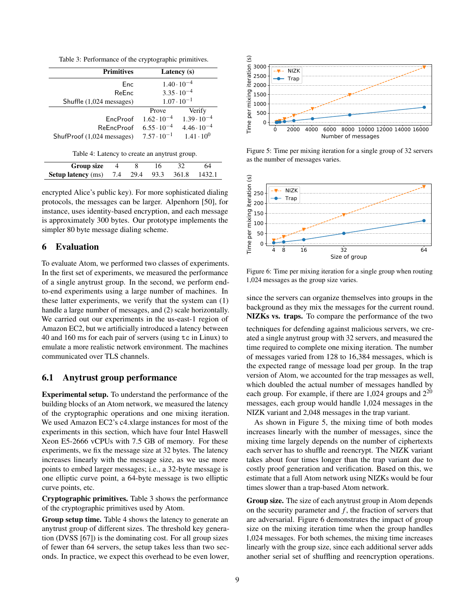Table 3: Performance of the cryptographic primitives.

<span id="page-8-0"></span>

| <b>Primitives</b>                             | Latency (s)          |                      |  |  |  |
|-----------------------------------------------|----------------------|----------------------|--|--|--|
| Enc                                           | $1.40 \cdot 10^{-4}$ |                      |  |  |  |
| ReEnc                                         | $3.35 \cdot 10^{-4}$ |                      |  |  |  |
| Shuffle (1,024 messages)                      | $1.07 \cdot 10^{-1}$ |                      |  |  |  |
|                                               | Prove                | Verify               |  |  |  |
| <b>EncProof</b>                               | $1.62 \cdot 10^{-4}$ | $1.39 \cdot 10^{-4}$ |  |  |  |
| <b>ReEncProof</b>                             | $6.55 \cdot 10^{-4}$ | $4.46 \cdot 10^{-4}$ |  |  |  |
| ShufProof (1,024 messages)                    | $7.57 \cdot 10^{-1}$ | $1.41 \cdot 10^{0}$  |  |  |  |
| Table 4: Latency to create an anytrust group. |                      |                      |  |  |  |

<span id="page-8-1"></span>

| Group size                                           |  |  | 64 |  |
|------------------------------------------------------|--|--|----|--|
| <b>Setup latency</b> (ms) 7.4 29.4 93.3 361.8 1432.1 |  |  |    |  |

encrypted Alice's public key). For more sophisticated dialing protocols, the messages can be larger. Alpenhorn [\[50\]](#page-15-6), for instance, uses identity-based encryption, and each message is approximately 300 bytes. Our prototype implements the simpler 80 byte message dialing scheme.

#### 6 Evaluation

To evaluate Atom, we performed two classes of experiments. In the first set of experiments, we measured the performance of a single anytrust group. In the second, we perform endto-end experiments using a large number of machines. In these latter experiments, we verify that the system can (1) handle a large number of messages, and (2) scale horizontally. We carried out our experiments in the us-east-1 region of Amazon EC2, but we artificially introduced a latency between 40 and 160 ms for each pair of servers (using tc in Linux) to emulate a more realistic network environment. The machines communicated over TLS channels.

# 6.1 Anytrust group performance

Experimental setup. To understand the performance of the building blocks of an Atom network, we measured the latency of the cryptographic operations and one mixing iteration. We used Amazon EC2's c4.xlarge instances for most of the experiments in this section, which have four Intel Haswell Xeon E5-2666 vCPUs with 7.5 GB of memory. For these experiments, we fix the message size at 32 bytes. The latency increases linearly with the message size, as we use more points to embed larger messages; i.e., a 32-byte message is one elliptic curve point, a 64-byte message is two elliptic curve points, etc.

Cryptographic primitives. Table [3](#page-8-0) shows the performance of the cryptographic primitives used by Atom.

Group setup time. Table [4](#page-8-1) shows the latency to generate an anytrust group of different sizes. The threshold key generation (DVSS [\[67\]](#page-16-14)) is the dominating cost. For all group sizes of fewer than 64 servers, the setup takes less than two seconds. In practice, we expect this overhead to be even lower,

<span id="page-8-2"></span>

Figure 5: Time per mixing iteration for a single group of 32 servers as the number of messages varies.

<span id="page-8-3"></span>

Figure 6: Time per mixing iteration for a single group when routing 1,024 messages as the group size varies.

since the servers can organize themselves into groups in the background as they mix the messages for the current round. NIZKs vs. traps. To compare the performance of the two

techniques for defending against malicious servers, we created a single anytrust group with 32 servers, and measured the time required to complete one mixing iteration. The number of messages varied from 128 to 16,384 messages, which is the expected range of message load per group. In the trap version of Atom, we accounted for the trap messages as well, which doubled the actual number of messages handled by each group. For example, if there are  $1,024$  groups and  $2^{20}$ messages, each group would handle 1,024 messages in the NIZK variant and 2,048 messages in the trap variant.

As shown in Figure [5,](#page-8-2) the mixing time of both modes increases linearly with the number of messages, since the mixing time largely depends on the number of ciphertexts each server has to shuffle and reencrypt. The NIZK variant takes about four times longer than the trap variant due to costly proof generation and verification. Based on this, we estimate that a full Atom network using NIZKs would be four times slower than a trap-based Atom network.

Group size. The size of each anytrust group in Atom depends on the security parameter and *f* , the fraction of servers that are adversarial. Figure [6](#page-8-3) demonstrates the impact of group size on the mixing iteration time when the group handles 1,024 messages. For both schemes, the mixing time increases linearly with the group size, since each additional server adds another serial set of shuffling and reencryption operations.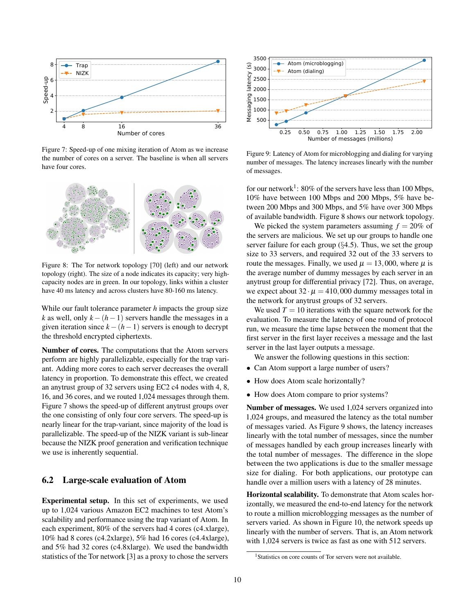<span id="page-9-0"></span>

Figure 7: Speed-up of one mixing iteration of Atom as we increase the number of cores on a server. The baseline is when all servers have four cores.

<span id="page-9-2"></span>

Figure 8: The Tor network topology [\[70\]](#page-16-17) (left) and our network topology (right). The size of a node indicates its capacity; very highcapacity nodes are in green. In our topology, links within a cluster have 40 ms latency and across clusters have 80-160 ms latency.

While our fault tolerance parameter *h* impacts the group size *k* as well, only  $k - (h-1)$  servers handle the messages in a given iteration since  $k - (h-1)$  servers is enough to decrypt the threshold encrypted ciphertexts.

Number of cores. The computations that the Atom servers perform are highly parallelizable, especially for the trap variant. Adding more cores to each server decreases the overall latency in proportion. To demonstrate this effect, we created an anytrust group of 32 servers using EC2 c4 nodes with 4, 8, 16, and 36 cores, and we routed 1,024 messages through them. Figure [7](#page-9-0) shows the speed-up of different anytrust groups over the one consisting of only four core servers. The speed-up is nearly linear for the trap-variant, since majority of the load is parallelizable. The speed-up of the NIZK variant is sub-linear because the NIZK proof generation and verification technique we use is inherently sequential.

### 6.2 Large-scale evaluation of Atom

Experimental setup. In this set of experiments, we used up to 1,024 various Amazon EC2 machines to test Atom's scalability and performance using the trap variant of Atom. In each experiment, 80% of the servers had 4 cores (c4.xlarge), 10% had 8 cores (c4.2xlarge), 5% had 16 cores (c4.4xlarge), and 5% had 32 cores (c4.8xlarge). We used the bandwidth statistics of the Tor network [\[3\]](#page-14-3) as a proxy to chose the servers

<span id="page-9-3"></span>

Figure 9: Latency of Atom for microblogging and dialing for varying number of messages. The latency increases linearly with the number of messages.

for our network<sup>[1](#page-9-1)</sup>: 80% of the servers have less than 100 Mbps, 10% have between 100 Mbps and 200 Mbps, 5% have between 200 Mbps and 300 Mbps, and 5% have over 300 Mbps of available bandwidth. Figure [8](#page-9-2) shows our network topology.

We picked the system parameters assuming  $f = 20\%$  of the servers are malicious. We set up our groups to handle one server failure for each group  $(\S 4.5)$  $(\S 4.5)$ . Thus, we set the group size to 33 servers, and required 32 out of the 33 servers to route the messages. Finally, we used  $\mu = 13,000$ , where  $\mu$  is the average number of dummy messages by each server in an anytrust group for differential privacy [\[72\]](#page-16-2). Thus, on average, we expect about  $32 \cdot \mu = 410,000$  dummy messages total in the network for anytrust groups of 32 servers.

We used  $T = 10$  iterations with the square network for the evaluation. To measure the latency of one round of protocol run, we measure the time lapse between the moment that the first server in the first layer receives a message and the last server in the last layer outputs a message.

- We answer the following questions in this section:
- Can Atom support a large number of users?
- How does Atom scale horizontally?
- How does Atom compare to prior systems?

Number of messages. We used 1,024 servers organized into 1,024 groups, and measured the latency as the total number of messages varied. As Figure [9](#page-9-3) shows, the latency increases linearly with the total number of messages, since the number of messages handled by each group increases linearly with the total number of messages. The difference in the slope between the two applications is due to the smaller message size for dialing. For both applications, our prototype can handle over a million users with a latency of 28 minutes.

Horizontal scalability. To demonstrate that Atom scales horizontally, we measured the end-to-end latency for the network to route a million microblogging messages as the number of servers varied. As shown in Figure [10,](#page-10-0) the network speeds up linearly with the number of servers. That is, an Atom network with 1,024 servers is twice as fast as one with 512 servers.

<span id="page-9-1"></span><sup>&</sup>lt;sup>1</sup>Statistics on core counts of Tor servers were not available.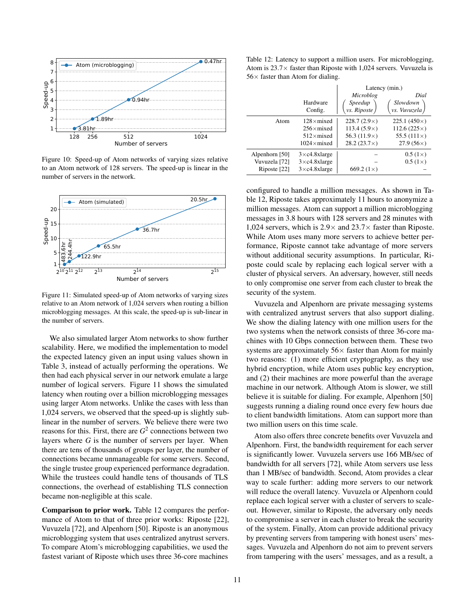<span id="page-10-0"></span>

Figure 10: Speed-up of Atom networks of varying sizes relative to an Atom network of 128 servers. The speed-up is linear in the number of servers in the network.

<span id="page-10-1"></span>

Figure 11: Simulated speed-up of Atom networks of varying sizes relative to an Atom network of 1,024 servers when routing a billion microblogging messages. At this scale, the speed-up is sub-linear in the number of servers.

We also simulated larger Atom networks to show further scalability. Here, we modified the implementation to model the expected latency given an input using values shown in Table [3,](#page-8-0) instead of actually performing the operations. We then had each physical server in our network emulate a large number of logical servers. Figure [11](#page-10-1) shows the simulated latency when routing over a billion microblogging messages using larger Atom networks. Unlike the cases with less than 1,024 servers, we observed that the speed-up is slightly sublinear in the number of servers. We believe there were two reasons for this. First, there are *G* 2 connections between two layers where *G* is the number of servers per layer. When there are tens of thousands of groups per layer, the number of connections became unmanageable for some servers. Second, the single trustee group experienced performance degradation. While the trustees could handle tens of thousands of TLS connections, the overhead of establishing TLS connection became non-negligible at this scale.

Comparison to prior work. Table [12](#page-10-2) compares the performance of Atom to that of three prior works: Riposte [\[22\]](#page-14-1), Vuvuzela [\[72\]](#page-16-2), and Alpenhorn [\[50\]](#page-15-6). Riposte is an anonymous microblogging system that uses centralized anytrust servers. To compare Atom's microblogging capabilities, we used the fastest variant of Riposte which uses three 36-core machines

<span id="page-10-2"></span>Table 12: Latency to support a million users. For microblogging, Atom is  $23.7\times$  faster than Riposte with 1,024 servers. Vuvuzela is  $56\times$  faster than Atom for dialing.

|                |                        | Latency (min.)      |                     |  |
|----------------|------------------------|---------------------|---------------------|--|
|                |                        | Microblog           | Dial                |  |
|                | Hardware               | Speedup             | <i>Slowdown</i>     |  |
|                | Config.                | $vs.$ Riposte $/$   | vs. Vuvuzela )      |  |
| Atom           | $128 \times$ mixed     | $228.7(2.9\times)$  | $225.1(450\times)$  |  |
|                | $256\times$ mixed      | $113.4(5.9\times)$  | $112.6(225\times)$  |  |
|                | $512\times$ mixed      | 56.3 $(11.9\times)$ | 55.5 $(111 \times)$ |  |
|                | $1024 \times$ mixed    | $28.2(23.7\times)$  | $27.9(56\times)$    |  |
| Alpenhorn [50] | $3 \times c4.8$ xlarge |                     | $0.5(1\times)$      |  |
| Vuvuzela [72]  | $3 \times c4.8$ xlarge |                     | $0.5(1\times)$      |  |
| Riposte [22]   | $3 \times c4.8$ xlarge | 669.2 $(1\times)$   |                     |  |

configured to handle a million messages. As shown in Table [12,](#page-10-2) Riposte takes approximately 11 hours to anonymize a million messages. Atom can support a million microblogging messages in 3.8 hours with 128 servers and 28 minutes with 1,024 servers, which is  $2.9 \times$  and  $23.7 \times$  faster than Riposte. While Atom uses many more servers to achieve better performance, Riposte cannot take advantage of more servers without additional security assumptions. In particular, Riposte could scale by replacing each logical server with a cluster of physical servers. An adversary, however, still needs to only compromise one server from each cluster to break the security of the system.

Vuvuzela and Alpenhorn are private messaging systems with centralized anytrust servers that also support dialing. We show the dialing latency with one million users for the two systems when the network consists of three 36-core machines with 10 Gbps connection between them. These two systems are approximately  $56\times$  faster than Atom for mainly two reasons: (1) more efficient cryptography, as they use hybrid encryption, while Atom uses public key encryption, and (2) their machines are more powerful than the average machine in our network. Although Atom is slower, we still believe it is suitable for dialing. For example, Alpenhorn [\[50\]](#page-15-6) suggests running a dialing round once every few hours due to client bandwidth limitations. Atom can support more than two million users on this time scale.

Atom also offers three concrete benefits over Vuvuzela and Alpenhorn. First, the bandwidth requirement for each server is significantly lower. Vuvuzela servers use 166 MB/sec of bandwidth for all servers [\[72\]](#page-16-2), while Atom servers use less than 1 MB/sec of bandwidth. Second, Atom provides a clear way to scale further: adding more servers to our network will reduce the overall latency. Vuvuzela or Alpenhorn could replace each logical server with a cluster of servers to scaleout. However, similar to Riposte, the adversary only needs to compromise a server in each cluster to break the security of the system. Finally, Atom can provide additional privacy by preventing servers from tampering with honest users' messages. Vuvuzela and Alpenhorn do not aim to prevent servers from tampering with the users' messages, and as a result, a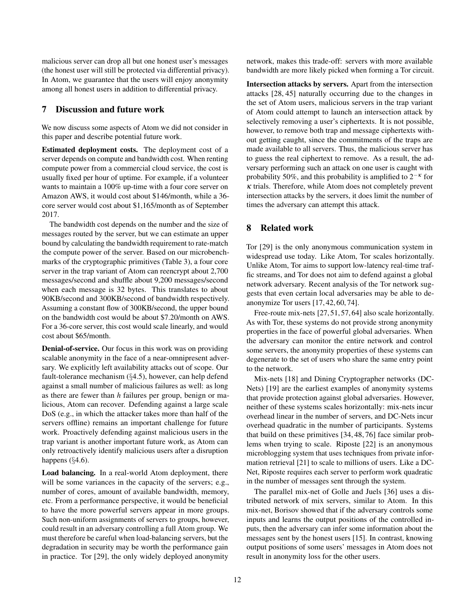malicious server can drop all but one honest user's messages (the honest user will still be protected via differential privacy). In Atom, we guarantee that the users will enjoy anonymity among all honest users in addition to differential privacy.

### 7 Discussion and future work

We now discuss some aspects of Atom we did not consider in this paper and describe potential future work.

Estimated deployment costs. The deployment cost of a server depends on compute and bandwidth cost. When renting compute power from a commercial cloud service, the cost is usually fixed per hour of uptime. For example, if a volunteer wants to maintain a 100% up-time with a four core server on Amazon AWS, it would cost about \$146/month, while a 36 core server would cost about \$1,165/month as of September 2017.

The bandwidth cost depends on the number and the size of messages routed by the server, but we can estimate an upper bound by calculating the bandwidth requirement to rate-match the compute power of the server. Based on our microbenchmarks of the cryptographic primitives (Table [3\)](#page-8-0), a four core server in the trap variant of Atom can reencrypt about 2,700 messages/second and shuffle about 9,200 messages/second when each message is 32 bytes. This translates to about 90KB/second and 300KB/second of bandwidth respectively. Assuming a constant flow of 300KB/second, the upper bound on the bandwidth cost would be about \$7.20/month on AWS. For a 36-core server, this cost would scale linearly, and would cost about \$65/month.

Denial-of-service. Our focus in this work was on providing scalable anonymity in the face of a near-omnipresent adversary. We explicitly left availability attacks out of scope. Our fault-tolerance mechanism (§[4.5\)](#page-6-0), however, can help defend against a small number of malicious failures as well: as long as there are fewer than *h* failures per group, benign or malicious, Atom can recover. Defending against a large scale DoS (e.g., in which the attacker takes more than half of the servers offline) remains an important challenge for future work. Proactively defending against malicious users in the trap variant is another important future work, as Atom can only retroactively identify malicious users after a disruption happens (§[4.6\)](#page-7-0).

Load balancing. In a real-world Atom deployment, there will be some variances in the capacity of the servers; e.g., number of cores, amount of available bandwidth, memory, etc. From a performance perspective, it would be beneficial to have the more powerful servers appear in more groups. Such non-uniform assignments of servers to groups, however, could result in an adversary controlling a full Atom group. We must therefore be careful when load-balancing servers, but the degradation in security may be worth the performance gain in practice. Tor [\[29\]](#page-15-3), the only widely deployed anonymity

network, makes this trade-off: servers with more available bandwidth are more likely picked when forming a Tor circuit.

Intersection attacks by servers. Apart from the intersection attacks [\[28,](#page-14-8) [45\]](#page-15-13) naturally occurring due to the changes in the set of Atom users, malicious servers in the trap variant of Atom could attempt to launch an intersection attack by selectively removing a user's ciphertexts. It is not possible, however, to remove both trap and message ciphertexts without getting caught, since the commitments of the traps are made available to all servers. Thus, the malicious server has to guess the real ciphertext to remove. As a result, the adversary performing such an attack on one user is caught with probability 50%, and this probability is amplified to  $2^{-\kappa}$  for  $\kappa$  trials. Therefore, while Atom does not completely prevent intersection attacks by the servers, it does limit the number of times the adversary can attempt this attack.

# 8 Related work

Tor [\[29\]](#page-15-3) is the only anonymous communication system in widespread use today. Like Atom, Tor scales horizontally. Unlike Atom, Tor aims to support low-latency real-time traffic streams, and Tor does not aim to defend against a global network adversary. Recent analysis of the Tor network suggests that even certain local adversaries may be able to deanonymize Tor users [\[17,](#page-14-5) [42,](#page-15-18) [60,](#page-16-18) [74\]](#page-16-4).

Free-route mix-nets [\[27,](#page-14-17) [51,](#page-15-19) [57,](#page-16-19) [64\]](#page-16-20) also scale horizontally. As with Tor, these systems do not provide strong anonymity properties in the face of powerful global adversaries. When the adversary can monitor the entire network and control some servers, the anonymity properties of these systems can degenerate to the set of users who share the same entry point to the network.

Mix-nets [\[18\]](#page-14-2) and Dining Cryptographer networks (DC-Nets) [\[19\]](#page-14-18) are the earliest examples of anonymity systems that provide protection against global adversaries. However, neither of these systems scales horizontally: mix-nets incur overhead linear in the number of servers, and DC-Nets incur overhead quadratic in the number of participants. Systems that build on these primitives [\[34,](#page-15-20) [48,](#page-15-2) [76\]](#page-16-1) face similar problems when trying to scale. Riposte [\[22\]](#page-14-1) is an anonymous microblogging system that uses techniques from private information retrieval [\[21\]](#page-14-19) to scale to millions of users. Like a DC-Net, Riposte requires each server to perform work quadratic in the number of messages sent through the system.

The parallel mix-net of Golle and Juels [\[36\]](#page-15-21) uses a distributed network of mix servers, similar to Atom. In this mix-net, Borisov showed that if the adversary controls some inputs and learns the output positions of the controlled inputs, then the adversary can infer some information about the messages sent by the honest users [\[15\]](#page-14-20). In contrast, knowing output positions of some users' messages in Atom does not result in anonymity loss for the other users.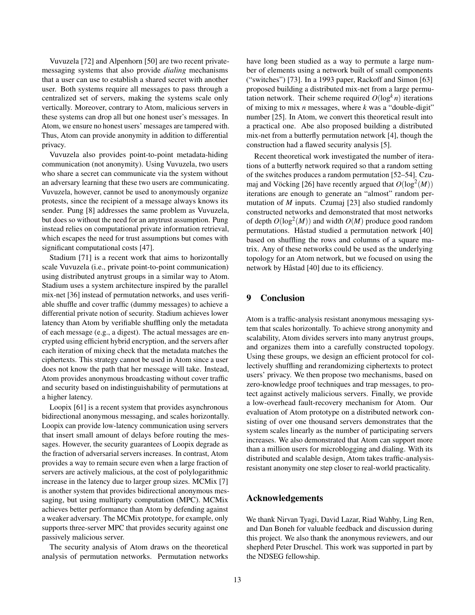Vuvuzela [\[72\]](#page-16-2) and Alpenhorn [\[50\]](#page-15-6) are two recent privatemessaging systems that also provide *dialing* mechanisms that a user can use to establish a shared secret with another user. Both systems require all messages to pass through a centralized set of servers, making the systems scale only vertically. Moreover, contrary to Atom, malicious servers in these systems can drop all but one honest user's messages. In Atom, we ensure no honest users' messages are tampered with. Thus, Atom can provide anonymity in addition to differential privacy.

Vuvuzela also provides point-to-point metadata-hiding communication (not anonymity). Using Vuvuzela, two users who share a secret can communicate via the system without an adversary learning that these two users are communicating. Vuvuzela, however, cannot be used to anonymously organize protests, since the recipient of a message always knows its sender. Pung [\[8\]](#page-14-6) addresses the same problem as Vuvuzela, but does so without the need for an anytrust assumption. Pung instead relies on computational private information retrieval, which escapes the need for trust assumptions but comes with significant computational costs [\[47\]](#page-15-22).

Stadium [\[71\]](#page-16-21) is a recent work that aims to horizontally scale Vuvuzela (i.e., private point-to-point communication) using distributed anytrust groups in a similar way to Atom. Stadium uses a system architecture inspired by the parallel mix-net [\[36\]](#page-15-21) instead of permutation networks, and uses verifiable shuffle and cover traffic (dummy messages) to achieve a differential private notion of security. Stadium achieves lower latency than Atom by verifiable shuffling only the metadata of each message (e.g., a digest). The actual messages are encrypted using efficient hybrid encryption, and the servers after each iteration of mixing check that the metadata matches the ciphertexts. This strategy cannot be used in Atom since a user does not know the path that her message will take. Instead, Atom provides anonymous broadcasting without cover traffic and security based on indistinguishability of permutations at a higher latency.

Loopix [\[61\]](#page-16-22) is a recent system that provides asynchronous bidirectional anonymous messaging, and scales horizontally. Loopix can provide low-latency communication using servers that insert small amount of delays before routing the messages. However, the security guarantees of Loopix degrade as the fraction of adversarial servers increases. In contrast, Atom provides a way to remain secure even when a large fraction of servers are actively malicious, at the cost of polylogarithmic increase in the latency due to larger group sizes. MCMix [\[7\]](#page-14-21) is another system that provides bidirectional anonymous messaging, but using multiparty computation (MPC). MCMix achieves better performance than Atom by defending against a weaker adversary. The MCMix prototype, for example, only supports three-server MPC that provides security against one passively malicious server.

The security analysis of Atom draws on the theoretical analysis of permutation networks. Permutation networks have long been studied as a way to permute a large number of elements using a network built of small components ("switches") [\[73\]](#page-16-23). In a 1993 paper, Rackoff and Simon [\[63\]](#page-16-7) proposed building a distributed mix-net from a large permutation network. Their scheme required  $O(\log^k n)$  iterations of mixing to mix *n* messages, where *k* was a "double-digit" number [\[25\]](#page-14-22). In Atom, we convert this theoretical result into a practical one. Abe also proposed building a distributed mix-net from a butterfly permutation network [\[4\]](#page-14-23), though the construction had a flawed security analysis [\[5\]](#page-14-24).

Recent theoretical work investigated the number of iterations of a butterfly network required so that a random setting of the switches produces a random permutation [\[52](#page-15-23)[–54\]](#page-15-24). Czu-maj and Vöcking [\[26\]](#page-14-13) have recently argued that  $O(\log^2(M))$ iterations are enough to generate an "almost" random permutation of *M* inputs. Czumaj [\[23\]](#page-14-12) also studied randomly constructed networks and demonstrated that most networks of depth  $O(\log^2(M))$  and width  $O(M)$  produce good random permutations. Håstad studied a permutation network [\[40\]](#page-15-15) based on shuffling the rows and columns of a square matrix. Any of these networks could be used as the underlying topology for an Atom network, but we focused on using the network by Håstad [\[40\]](#page-15-15) due to its efficiency.

#### 9 Conclusion

Atom is a traffic-analysis resistant anonymous messaging system that scales horizontally. To achieve strong anonymity and scalability, Atom divides servers into many anytrust groups, and organizes them into a carefully constructed topology. Using these groups, we design an efficient protocol for collectively shuffling and rerandomizing ciphertexts to protect users' privacy. We then propose two mechanisms, based on zero-knowledge proof techniques and trap messages, to protect against actively malicious servers. Finally, we provide a low-overhead fault-recovery mechanism for Atom. Our evaluation of Atom prototype on a distributed network consisting of over one thousand servers demonstrates that the system scales linearly as the number of participating servers increases. We also demonstrated that Atom can support more than a million users for microblogging and dialing. With its distributed and scalable design, Atom takes traffic-analysisresistant anonymity one step closer to real-world practicality.

#### Acknowledgements

We thank Nirvan Tyagi, David Lazar, Riad Wahby, Ling Ren, and Dan Boneh for valuable feedback and discussion during this project. We also thank the anonymous reviewers, and our shepherd Peter Druschel. This work was supported in part by the NDSEG fellowship.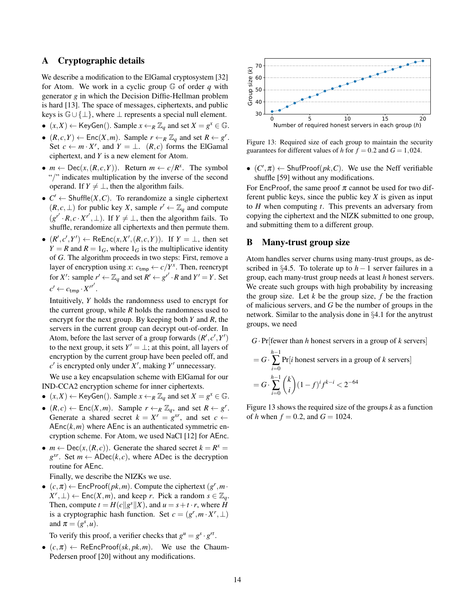# <span id="page-13-0"></span>A Cryptographic details

We describe a modification to the ElGamal cryptosystem [\[32\]](#page-15-8) for Atom. We work in a cyclic group G of order *q* with generator *g* in which the Decision Diffie-Hellman problem is hard [\[13\]](#page-14-25). The space of messages, ciphertexts, and public keys is  $\mathbb{G} \cup \{\perp\}$ , where  $\perp$  represents a special null element.

- $(x, X) \leftarrow \text{KeyGen}()$ . Sample  $x \leftarrow_R \mathbb{Z}_q$  and set  $X = g^x \in \mathbb{G}$ .
- $(R, c, Y) \leftarrow \text{Enc}(X, m)$ . Sample  $r \leftarrow_R \mathbb{Z}_q$  and set  $R \leftarrow g^r$ . Set  $c \leftarrow m \cdot X^r$ , and  $Y = \perp$ .  $(R, c)$  forms the ElGamal ciphertext, and *Y* is a new element for Atom.
- $m \leftarrow \text{Dec}(x, (R, c, Y))$ . Return  $m \leftarrow c/R^x$ . The symbol "/" indicates multiplication by the inverse of the second operand. If  $Y \neq \perp$ , then the algorithm fails.
- $C' \leftarrow$  Shuffle $(X, C)$ . To rerandomize a single ciphertext  $(R, c, ⊥)$  for public key *X*, sample  $r' \leftarrow \mathbb{Z}_q$  and compute  $(g^{r'} \cdot R, c \cdot X^{r'}, \perp)$ . If  $Y \neq \perp$ , then the algorithm fails. To shuffle, rerandomize all ciphertexts and then permute them.
- $(R', c', Y') \leftarrow \text{ReEnc}(x, X', (R, c, Y))$ . If  $Y = \perp$ , then set  $Y = R$  and  $R = 1_G$ , where  $1_G$  is the multiplicative identity of *G*. The algorithm proceeds in two steps: First, remove a layer of encryption using *x*:  $c_{\text{tmp}} \leftarrow c/Y^x$ . Then, reencrypt for *X'*: sample  $r' \leftarrow \mathbb{Z}_q$  and set  $R' \leftarrow g^{r'} \cdot R$  and  $Y' = Y$ . Set  $c' \leftarrow c_{\text{tmp}} \cdot {X'}^{r'}$ .

Intuitively, *Y* holds the randomness used to encrypt for the current group, while *R* holds the randomness used to encrypt for the next group. By keeping both *Y* and *R*, the servers in the current group can decrypt out-of-order. In Atom, before the last server of a group forwards  $(R', c', Y')$ to the next group, it sets  $Y' = \perp$ ; at this point, all layers of encryption by the current group have been peeled off, and  $c'$  is encrypted only under  $X'$ , making  $Y'$  unnecessary.

We use a key encapsulation scheme with ElGamal for our IND-CCA2 encryption scheme for inner ciphertexts.

- $(x, X) \leftarrow \text{KeyGen}()$ . Sample  $x \leftarrow_R \mathbb{Z}_q$  and set  $X = g^x \in \mathbb{G}$ .
- $(R, c) \leftarrow \text{Enc}(X, m)$ . Sample  $r \leftarrow_R \mathbb{Z}_q$ , and set  $R \leftarrow g^r$ . Generate a shared secret  $k = X^r = g^{xr}$ , and set  $c \leftarrow$  $AEnc(k, m)$  where  $AEnc$  is an authenticated symmetric encryption scheme. For Atom, we used NaCl [\[12\]](#page-14-26) for AEnc.
- $m \leftarrow \text{Dec}(x, (R, c))$ . Generate the shared secret  $k = R^x$  $g^{xr}$ . Set  $m \leftarrow \text{ADec}(k, c)$ , where ADec is the decryption routine for AEnc.

Finally, we describe the NIZKs we use.

•  $(c, \pi) \leftarrow$  EncProof $(pk, m)$ . Compute the ciphertext  $(g^r, m \cdot)$  $(X^r, \perp)$  ← Enc $(X, m)$ , and keep *r*. Pick a random  $s \in \mathbb{Z}_q$ . Then, compute  $t = H(c||g<sup>s</sup>||X)$ , and  $u = s + t \cdot r$ , where *H* is a cryptographic hash function. Set  $c = (g^r, m \cdot X^r, \perp)$ and  $\pi = (g^s, u)$ .

To verify this proof, a verifier checks that  $g^{\mu} = g^s \cdot g^{rt}$ .

•  $(c, \pi) \leftarrow \text{ReEncProof}(sk, pk, m)$ . We use the Chaum-Pedersen proof [\[20\]](#page-14-10) without any modifications.

<span id="page-13-2"></span>

Figure 13: Required size of each group to maintain the security guarantees for different values of *h* for  $f = 0.2$  and  $G = 1,024$ .

•  $(C', \pi)$   $\leftarrow$  ShufProof( $pk, C$ ). We use the Neff verifiable shuffle [\[59\]](#page-16-9) without any modifications.

For EncProof, the same proof  $\pi$  cannot be used for two different public keys, since the public key *X* is given as input to *H* when computing *t*. This prevents an adversary from copying the ciphertext and the NIZK submitted to one group, and submitting them to a different group.

#### <span id="page-13-1"></span>B Many-trust group size

Atom handles server churns using many-trust groups, as de-scribed in §[4.5.](#page-6-0) To tolerate up to  $h-1$  server failures in a group, each many-trust group needs at least *h* honest servers. We create such groups with high probability by increasing the group size. Let  $k$  be the group size,  $f$  be the fraction of malicious servers, and *G* be the number of groups in the network. Similar to the analysis done in §[4.1](#page-4-5) for the anytrust groups, we need

G · Pr[fewer than *h* honest servers in a group of *k* servers]  
= 
$$
G \cdot \sum_{i=0}^{h-1} Pr[i
$$
 honest servers in a group of *k* servers]  
=  $G \cdot \sum_{i=0}^{h-1} {k \choose i} (1-f)^{i} f^{k-i} < 2^{-64}$ 

Figure [13](#page-13-2) shows the required size of the groups *k* as a function of *h* when  $f = 0.2$ , and  $G = 1024$ .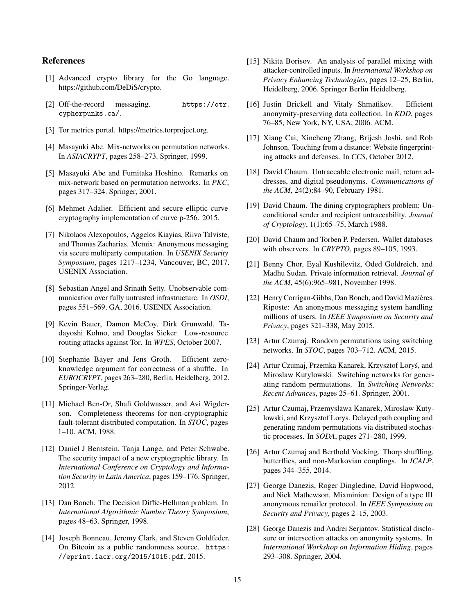# References

- <span id="page-14-15"></span>[1] Advanced crypto library for the Go language. https://github.com/DeDiS/crypto.
- <span id="page-14-0"></span>[2] Off-the-record messaging. [https://otr.](https://otr.cypherpunks.ca/) [cypherpunks.ca/](https://otr.cypherpunks.ca/).
- <span id="page-14-3"></span>[3] Tor metrics portal. https://metrics.torproject.org.
- <span id="page-14-23"></span>[4] Masayuki Abe. Mix-networks on permutation networks. In *ASIACRYPT*, pages 258–273. Springer, 1999.
- <span id="page-14-24"></span>[5] Masayuki Abe and Fumitaka Hoshino. Remarks on mix-network based on permutation networks. In *PKC*, pages 317–324. Springer, 2001.
- <span id="page-14-16"></span>[6] Mehmet Adalier. Efficient and secure elliptic curve cryptography implementation of curve p-256. 2015.
- <span id="page-14-21"></span>[7] Nikolaos Alexopoulos, Aggelos Kiayias, Riivo Talviste, and Thomas Zacharias. Mcmix: Anonymous messaging via secure multiparty computation. In *USENIX Security Symposium*, pages 1217–1234, Vancouver, BC, 2017. USENIX Association.
- <span id="page-14-6"></span>[8] Sebastian Angel and Srinath Setty. Unobservable communication over fully untrusted infrastructure. In *OSDI*, pages 551–569, GA, 2016. USENIX Association.
- <span id="page-14-4"></span>[9] Kevin Bauer, Damon McCoy, Dirk Grunwald, Tadayoshi Kohno, and Douglas Sicker. Low-resource routing attacks against Tor. In *WPES*, October 2007.
- <span id="page-14-11"></span>[10] Stephanie Bayer and Jens Groth. Efficient zeroknowledge argument for correctness of a shuffle. In *EUROCRYPT*, pages 263–280, Berlin, Heidelberg, 2012. Springer-Verlag.
- <span id="page-14-7"></span>[11] Michael Ben-Or, Shafi Goldwasser, and Avi Wigderson. Completeness theorems for non-cryptographic fault-tolerant distributed computation. In *STOC*, pages 1–10. ACM, 1988.
- <span id="page-14-26"></span>[12] Daniel J Bernstein, Tanja Lange, and Peter Schwabe. The security impact of a new cryptographic library. In *International Conference on Cryptology and Information Security in Latin America*, pages 159–176. Springer, 2012.
- <span id="page-14-25"></span>[13] Dan Boneh. The Decision Diffie-Hellman problem. In *International Algorithmic Number Theory Symposium*, pages 48–63. Springer, 1998.
- <span id="page-14-14"></span>[14] Joseph Bonneau, Jeremy Clark, and Steven Goldfeder. On Bitcoin as a public randomness source. [https:](https://eprint.iacr.org/2015/1015.pdf) [//eprint.iacr.org/2015/1015.pdf](https://eprint.iacr.org/2015/1015.pdf), 2015.
- <span id="page-14-20"></span>[15] Nikita Borisov. An analysis of parallel mixing with attacker-controlled inputs. In *International Workshop on Privacy Enhancing Technologies*, pages 12–25, Berlin, Heidelberg, 2006. Springer Berlin Heidelberg.
- <span id="page-14-9"></span>[16] Justin Brickell and Vitaly Shmatikov. Efficient anonymity-preserving data collection. In *KDD*, pages 76–85, New York, NY, USA, 2006. ACM.
- <span id="page-14-5"></span>[17] Xiang Cai, Xincheng Zhang, Brijesh Joshi, and Rob Johnson. Touching from a distance: Website fingerprinting attacks and defenses. In *CCS*, October 2012.
- <span id="page-14-2"></span>[18] David Chaum. Untraceable electronic mail, return addresses, and digital pseudonyms. *Communications of the ACM*, 24(2):84–90, February 1981.
- <span id="page-14-18"></span>[19] David Chaum. The dining cryptographers problem: Unconditional sender and recipient untraceability. *Journal of Cryptology*, 1(1):65–75, March 1988.
- <span id="page-14-10"></span>[20] David Chaum and Torben P. Pedersen. Wallet databases with observers. In *CRYPTO*, pages 89–105, 1993.
- <span id="page-14-19"></span>[21] Benny Chor, Eyal Kushilevitz, Oded Goldreich, and Madhu Sudan. Private information retrieval. *Journal of the ACM*, 45(6):965–981, November 1998.
- <span id="page-14-1"></span>[22] Henry Corrigan-Gibbs, Dan Boneh, and David Mazières. Riposte: An anonymous messaging system handling millions of users. In *IEEE Symposium on Security and Privacy*, pages 321–338, May 2015.
- <span id="page-14-12"></span>[23] Artur Czumaj. Random permutations using switching networks. In *STOC*, pages 703–712. ACM, 2015.
- [24] Artur Czumaj, Przemka Kanarek, Krzysztof Lorys, and ´ Miroslaw Kutylowski. Switching networks for generating random permutations. In *Switching Networks: Recent Advances*, pages 25–61. Springer, 2001.
- <span id="page-14-22"></span>[25] Artur Czumaj, Przemyslawa Kanarek, Miroslaw Kutylowski, and Krzysztof Lorys. Delayed path coupling and generating random permutations via distributed stochastic processes. In *SODA*, pages 271–280, 1999.
- <span id="page-14-13"></span>[26] Artur Czumaj and Berthold Vocking. Thorp shuffling, butterflies, and non-Markovian couplings. In *ICALP*, pages 344–355, 2014.
- <span id="page-14-17"></span>[27] George Danezis, Roger Dingledine, David Hopwood, and Nick Mathewson. Mixminion: Design of a type III anonymous remailer protocol. In *IEEE Symposium on Security and Privacy*, pages 2–15, 2003.
- <span id="page-14-8"></span>[28] George Danezis and Andrei Serjantov. Statistical disclosure or intersection attacks on anonymity systems. In *International Workshop on Information Hiding*, pages 293–308. Springer, 2004.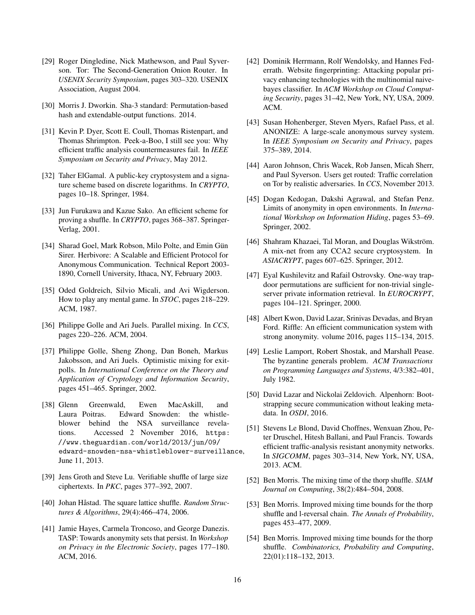- <span id="page-15-3"></span>[29] Roger Dingledine, Nick Mathewson, and Paul Syverson. Tor: The Second-Generation Onion Router. In *USENIX Security Symposium*, pages 303–320. USENIX Association, August 2004.
- <span id="page-15-17"></span>[30] Morris J. Dworkin. Sha-3 standard: Permutation-based hash and extendable-output functions. 2014.
- <span id="page-15-4"></span>[31] Kevin P. Dyer, Scott E. Coull, Thomas Ristenpart, and Thomas Shrimpton. Peek-a-Boo, I still see you: Why efficient traffic analysis countermeasures fail. In *IEEE Symposium on Security and Privacy*, May 2012.
- <span id="page-15-8"></span>[32] Taher ElGamal. A public-key cryptosystem and a signature scheme based on discrete logarithms. In *CRYPTO*, pages 10–18. Springer, 1984.
- <span id="page-15-9"></span>[33] Jun Furukawa and Kazue Sako. An efficient scheme for proving a shuffle. In *CRYPTO*, pages 368–387. Springer-Verlag, 2001.
- <span id="page-15-20"></span>[34] Sharad Goel, Mark Robson, Milo Polte, and Emin Gün Sirer. Herbivore: A Scalable and Efficient Protocol for Anonymous Communication. Technical Report 2003- 1890, Cornell University, Ithaca, NY, February 2003.
- <span id="page-15-7"></span>[35] Oded Goldreich, Silvio Micali, and Avi Wigderson. How to play any mental game. In *STOC*, pages 218–229. ACM, 1987.
- <span id="page-15-21"></span>[36] Philippe Golle and Ari Juels. Parallel mixing. In *CCS*, pages 220–226. ACM, 2004.
- <span id="page-15-16"></span>[37] Philippe Golle, Sheng Zhong, Dan Boneh, Markus Jakobsson, and Ari Juels. Optimistic mixing for exitpolls. In *International Conference on the Theory and Application of Cryptology and Information Security*, pages 451–465. Springer, 2002.
- <span id="page-15-0"></span>[38] Glenn Greenwald, Ewen MacAskill, and Laura Poitras. Edward Snowden: the whistleblower behind the NSA surveillance revelations. Accessed 2 November 2016, [https:](https://www.theguardian.com/world/2013/jun/09/edward-snowden-nsa-whistleblower-surveillance) [//www.theguardian.com/world/2013/jun/09/](https://www.theguardian.com/world/2013/jun/09/edward-snowden-nsa-whistleblower-surveillance) [edward-snowden-nsa-whistleblower-surveillance](https://www.theguardian.com/world/2013/jun/09/edward-snowden-nsa-whistleblower-surveillance), June 11, 2013.
- <span id="page-15-10"></span>[39] Jens Groth and Steve Lu. Verifiable shuffle of large size ciphertexts. In *PKC*, pages 377–392, 2007.
- <span id="page-15-15"></span>[40] Johan Håstad. The square lattice shuffle. *Random Structures & Algorithms*, 29(4):466–474, 2006.
- <span id="page-15-14"></span>[41] Jamie Hayes, Carmela Troncoso, and George Danezis. TASP: Towards anonymity sets that persist. In *Workshop on Privacy in the Electronic Society*, pages 177–180. ACM, 2016.
- <span id="page-15-18"></span>[42] Dominik Herrmann, Rolf Wendolsky, and Hannes Federrath. Website fingerprinting: Attacking popular privacy enhancing technologies with the multinomial naivebayes classifier. In *ACM Workshop on Cloud Computing Security*, pages 31–42, New York, NY, USA, 2009. ACM.
- <span id="page-15-1"></span>[43] Susan Hohenberger, Steven Myers, Rafael Pass, et al. ANONIZE: A large-scale anonymous survey system. In *IEEE Symposium on Security and Privacy*, pages 375–389, 2014.
- <span id="page-15-5"></span>[44] Aaron Johnson, Chris Wacek, Rob Jansen, Micah Sherr, and Paul Syverson. Users get routed: Traffic correlation on Tor by realistic adversaries. In *CCS*, November 2013.
- <span id="page-15-13"></span>[45] Dogan Kedogan, Dakshi Agrawal, and Stefan Penz. Limits of anonymity in open environments. In *International Workshop on Information Hiding*, pages 53–69. Springer, 2002.
- <span id="page-15-11"></span>[46] Shahram Khazaei, Tal Moran, and Douglas Wikström. A mix-net from any CCA2 secure cryptosystem. In *ASIACRYPT*, pages 607–625. Springer, 2012.
- <span id="page-15-22"></span>[47] Eyal Kushilevitz and Rafail Ostrovsky. One-way trapdoor permutations are sufficient for non-trivial singleserver private information retrieval. In *EUROCRYPT*, pages 104–121. Springer, 2000.
- <span id="page-15-2"></span>[48] Albert Kwon, David Lazar, Srinivas Devadas, and Bryan Ford. Riffle: An efficient communication system with strong anonymity. volume 2016, pages 115–134, 2015.
- <span id="page-15-12"></span>[49] Leslie Lamport, Robert Shostak, and Marshall Pease. The byzantine generals problem. *ACM Transactions on Programming Languages and Systems*, 4/3:382–401, July 1982.
- <span id="page-15-6"></span>[50] David Lazar and Nickolai Zeldovich. Alpenhorn: Bootstrapping secure communication without leaking metadata. In *OSDI*, 2016.
- <span id="page-15-19"></span>[51] Stevens Le Blond, David Choffnes, Wenxuan Zhou, Peter Druschel, Hitesh Ballani, and Paul Francis. Towards efficient traffic-analysis resistant anonymity networks. In *SIGCOMM*, pages 303–314, New York, NY, USA, 2013. ACM.
- <span id="page-15-23"></span>[52] Ben Morris. The mixing time of the thorp shuffle. *SIAM Journal on Computing*, 38(2):484–504, 2008.
- [53] Ben Morris. Improved mixing time bounds for the thorp shuffle and l-reversal chain. *The Annals of Probability*, pages 453–477, 2009.
- <span id="page-15-24"></span>[54] Ben Morris. Improved mixing time bounds for the thorp shuffle. *Combinatorics, Probability and Computing*, 22(01):118–132, 2013.